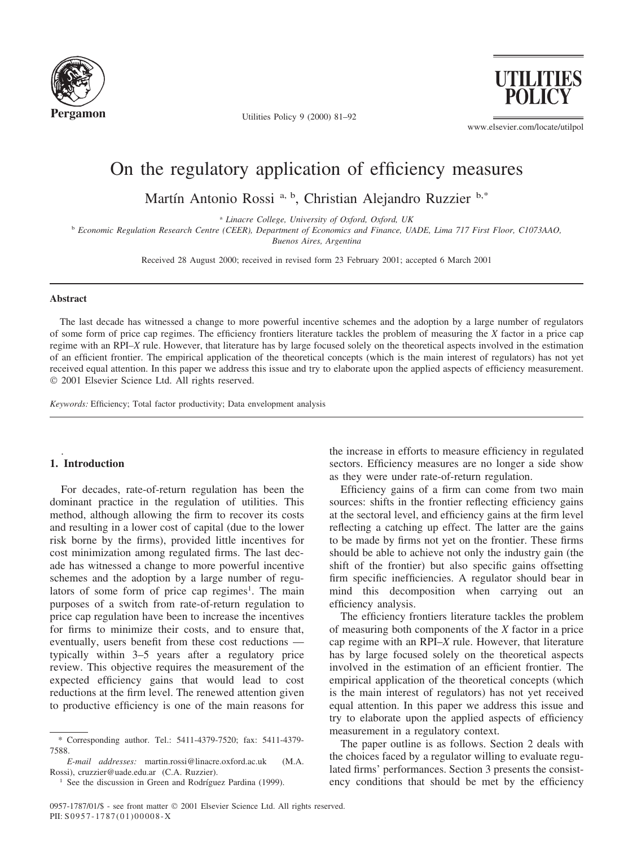

Utilities Policy 9 (2000) 81–92



www.elsevier.com/locate/utilpol

## On the regulatory application of efficiency measures

Martín Antonio Rossi a, b, Christian Alejandro Ruzzier  $b^*$ 

<sup>a</sup> *Linacre College, University of Oxford, Oxford, UK*

<sup>b</sup> *Economic Regulation Research Centre (CEER), Department of Economics and Finance, UADE, Lima 717 First Floor, C1073AAO,*

*Buenos Aires, Argentina*

Received 28 August 2000; received in revised form 23 February 2001; accepted 6 March 2001

#### **Abstract**

The last decade has witnessed a change to more powerful incentive schemes and the adoption by a large number of regulators of some form of price cap regimes. The efficiency frontiers literature tackles the problem of measuring the *X* factor in a price cap regime with an RPI–*X* rule. However, that literature has by large focused solely on the theoretical aspects involved in the estimation of an efficient frontier. The empirical application of the theoretical concepts (which is the main interest of regulators) has not yet received equal attention. In this paper we address this issue and try to elaborate upon the applied aspects of efficiency measurement. 2001 Elsevier Science Ltd. All rights reserved.

*Keywords:* Efficiency; Total factor productivity; Data envelopment analysis

## **1. Introduction**

.

For decades, rate-of-return regulation has been the dominant practice in the regulation of utilities. This method, although allowing the firm to recover its costs and resulting in a lower cost of capital (due to the lower risk borne by the firms), provided little incentives for cost minimization among regulated firms. The last decade has witnessed a change to more powerful incentive schemes and the adoption by a large number of regulators of some form of price cap regimes<sup>1</sup>. The main purposes of a switch from rate-of-return regulation to price cap regulation have been to increase the incentives for firms to minimize their costs, and to ensure that, eventually, users benefit from these cost reductions typically within 3–5 years after a regulatory price review. This objective requires the measurement of the expected efficiency gains that would lead to cost reductions at the firm level. The renewed attention given to productive efficiency is one of the main reasons for the increase in efforts to measure efficiency in regulated sectors. Efficiency measures are no longer a side show as they were under rate-of-return regulation.

Efficiency gains of a firm can come from two main sources: shifts in the frontier reflecting efficiency gains at the sectoral level, and efficiency gains at the firm level reflecting a catching up effect. The latter are the gains to be made by firms not yet on the frontier. These firms should be able to achieve not only the industry gain (the shift of the frontier) but also specific gains offsetting firm specific inefficiencies. A regulator should bear in mind this decomposition when carrying out an efficiency analysis.

The efficiency frontiers literature tackles the problem of measuring both components of the *X* factor in a price cap regime with an RPI–*X* rule. However, that literature has by large focused solely on the theoretical aspects involved in the estimation of an efficient frontier. The empirical application of the theoretical concepts (which is the main interest of regulators) has not yet received equal attention. In this paper we address this issue and try to elaborate upon the applied aspects of efficiency measurement in a regulatory context.

The paper outline is as follows. Section 2 deals with the choices faced by a regulator willing to evaluate regulated firms' performances. Section 3 presents the consistency conditions that should be met by the efficiency

<sup>\*</sup> Corresponding author. Tel.: 5411-4379-7520; fax: 5411-4379- 7588.

*E-mail addresses:* martin.rossi@linacre.oxford.ac.uk (M.A. Rossi), cruzzier@uade.edu.ar (C.A. Ruzzier).

<sup>&</sup>lt;sup>1</sup> See the discussion in Green and Rodríguez Pardina (1999).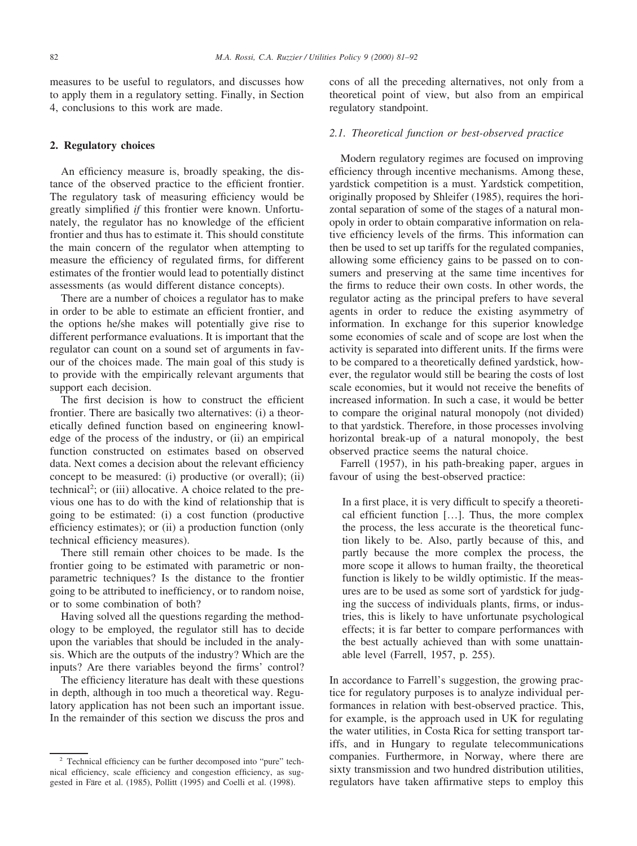measures to be useful to regulators, and discusses how to apply them in a regulatory setting. Finally, in Section 4, conclusions to this work are made.

#### **2. Regulatory choices**

An efficiency measure is, broadly speaking, the distance of the observed practice to the efficient frontier. The regulatory task of measuring efficiency would be greatly simplified *if* this frontier were known. Unfortunately, the regulator has no knowledge of the efficient frontier and thus has to estimate it. This should constitute the main concern of the regulator when attempting to measure the efficiency of regulated firms, for different estimates of the frontier would lead to potentially distinct assessments (as would different distance concepts).

There are a number of choices a regulator has to make in order to be able to estimate an efficient frontier, and the options he/she makes will potentially give rise to different performance evaluations. It is important that the regulator can count on a sound set of arguments in favour of the choices made. The main goal of this study is to provide with the empirically relevant arguments that support each decision.

The first decision is how to construct the efficient frontier. There are basically two alternatives: (i) a theoretically defined function based on engineering knowledge of the process of the industry, or (ii) an empirical function constructed on estimates based on observed data. Next comes a decision about the relevant efficiency concept to be measured: (i) productive (or overall); (ii) technical<sup>2</sup>; or (iii) allocative. A choice related to the previous one has to do with the kind of relationship that is going to be estimated: (i) a cost function (productive efficiency estimates); or (ii) a production function (only technical efficiency measures).

There still remain other choices to be made. Is the frontier going to be estimated with parametric or nonparametric techniques? Is the distance to the frontier going to be attributed to inefficiency, or to random noise, or to some combination of both?

Having solved all the questions regarding the methodology to be employed, the regulator still has to decide upon the variables that should be included in the analysis. Which are the outputs of the industry? Which are the inputs? Are there variables beyond the firms' control?

The efficiency literature has dealt with these questions in depth, although in too much a theoretical way. Regulatory application has not been such an important issue. In the remainder of this section we discuss the pros and cons of all the preceding alternatives, not only from a theoretical point of view, but also from an empirical regulatory standpoint.

### *2.1. Theoretical function or best-observed practice*

Modern regulatory regimes are focused on improving efficiency through incentive mechanisms. Among these, yardstick competition is a must. Yardstick competition, originally proposed by Shleifer (1985), requires the horizontal separation of some of the stages of a natural monopoly in order to obtain comparative information on relative efficiency levels of the firms. This information can then be used to set up tariffs for the regulated companies, allowing some efficiency gains to be passed on to consumers and preserving at the same time incentives for the firms to reduce their own costs. In other words, the regulator acting as the principal prefers to have several agents in order to reduce the existing asymmetry of information. In exchange for this superior knowledge some economies of scale and of scope are lost when the activity is separated into different units. If the firms were to be compared to a theoretically defined yardstick, however, the regulator would still be bearing the costs of lost scale economies, but it would not receive the benefits of increased information. In such a case, it would be better to compare the original natural monopoly (not divided) to that yardstick. Therefore, in those processes involving horizontal break-up of a natural monopoly, the best observed practice seems the natural choice.

Farrell (1957), in his path-breaking paper, argues in favour of using the best-observed practice:

In a first place, it is very difficult to specify a theoretical efficient function […]. Thus, the more complex the process, the less accurate is the theoretical function likely to be. Also, partly because of this, and partly because the more complex the process, the more scope it allows to human frailty, the theoretical function is likely to be wildly optimistic. If the measures are to be used as some sort of yardstick for judging the success of individuals plants, firms, or industries, this is likely to have unfortunate psychological effects; it is far better to compare performances with the best actually achieved than with some unattainable level (Farrell, 1957, p. 255).

In accordance to Farrell's suggestion, the growing practice for regulatory purposes is to analyze individual performances in relation with best-observed practice. This, for example, is the approach used in UK for regulating the water utilities, in Costa Rica for setting transport tariffs, and in Hungary to regulate telecommunications companies. Furthermore, in Norway, where there are sixty transmission and two hundred distribution utilities, regulators have taken affirmative steps to employ this

<sup>2</sup> Technical efficiency can be further decomposed into "pure" technical efficiency, scale efficiency and congestion efficiency, as suggested in Färe et al. (1985), Pollitt (1995) and Coelli et al. (1998).